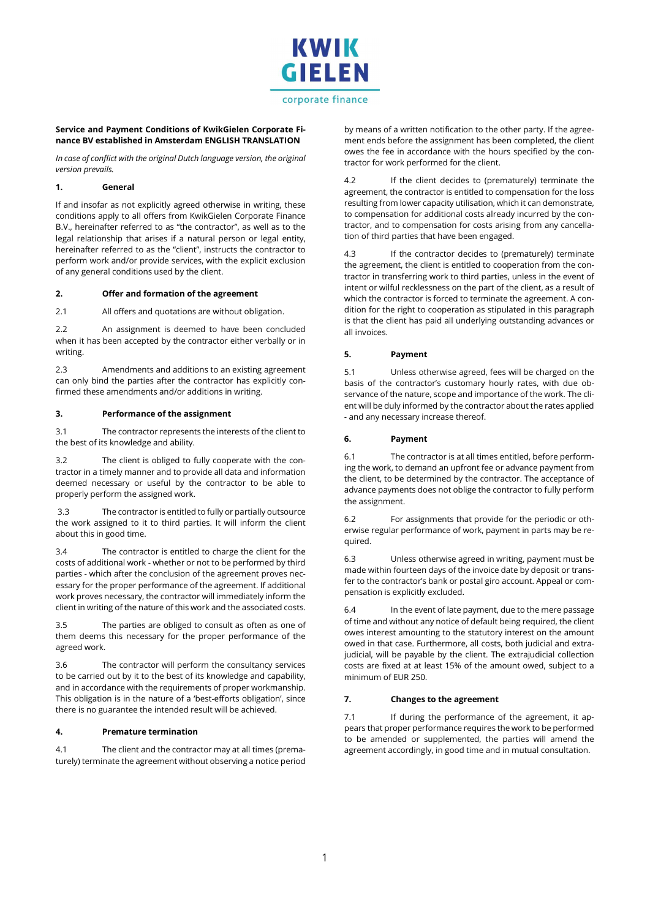

# corporate finance

### Service and Payment Conditions of KwikGielen Corporate Finance BV established in Amsterdam ENGLISH TRANSLATION

In case of conflict with the original Dutch language version, the original version prevails.

### 1. General

If and insofar as not explicitly agreed otherwise in writing, these conditions apply to all offers from KwikGielen Corporate Finance B.V., hereinafter referred to as "the contractor", as well as to the legal relationship that arises if a natural person or legal entity, hereinafter referred to as the "client", instructs the contractor to perform work and/or provide services, with the explicit exclusion of any general conditions used by the client.

#### 2. Offer and formation of the agreement

2.1 All offers and quotations are without obligation.

2.2 An assignment is deemed to have been concluded when it has been accepted by the contractor either verbally or in writing.

2.3 Amendments and additions to an existing agreement can only bind the parties after the contractor has explicitly confirmed these amendments and/or additions in writing.

## 3. Performance of the assignment

3.1 The contractor represents the interests of the client to the best of its knowledge and ability.

3.2 The client is obliged to fully cooperate with the contractor in a timely manner and to provide all data and information deemed necessary or useful by the contractor to be able to properly perform the assigned work.

 3.3 The contractor is entitled to fully or partially outsource the work assigned to it to third parties. It will inform the client about this in good time.

3.4 The contractor is entitled to charge the client for the costs of additional work - whether or not to be performed by third parties - which after the conclusion of the agreement proves necessary for the proper performance of the agreement. If additional work proves necessary, the contractor will immediately inform the client in writing of the nature of this work and the associated costs.

3.5 The parties are obliged to consult as often as one of them deems this necessary for the proper performance of the agreed work.

3.6 The contractor will perform the consultancy services to be carried out by it to the best of its knowledge and capability, and in accordance with the requirements of proper workmanship. This obligation is in the nature of a 'best-efforts obligation', since there is no guarantee the intended result will be achieved.

#### 4. Premature termination

4.1 The client and the contractor may at all times (prematurely) terminate the agreement without observing a notice period by means of a written notification to the other party. If the agreement ends before the assignment has been completed, the client owes the fee in accordance with the hours specified by the contractor for work performed for the client.

4.2 If the client decides to (prematurely) terminate the agreement, the contractor is entitled to compensation for the loss resulting from lower capacity utilisation, which it can demonstrate, to compensation for additional costs already incurred by the contractor, and to compensation for costs arising from any cancellation of third parties that have been engaged.

4.3 If the contractor decides to (prematurely) terminate the agreement, the client is entitled to cooperation from the contractor in transferring work to third parties, unless in the event of intent or wilful recklessness on the part of the client, as a result of which the contractor is forced to terminate the agreement. A condition for the right to cooperation as stipulated in this paragraph is that the client has paid all underlying outstanding advances or all invoices.

# 5. Payment

5.1 Unless otherwise agreed, fees will be charged on the basis of the contractor's customary hourly rates, with due observance of the nature, scope and importance of the work. The client will be duly informed by the contractor about the rates applied - and any necessary increase thereof.

## 6. Payment

6.1 The contractor is at all times entitled, before performing the work, to demand an upfront fee or advance payment from the client, to be determined by the contractor. The acceptance of advance payments does not oblige the contractor to fully perform the assignment.

6.2 For assignments that provide for the periodic or otherwise regular performance of work, payment in parts may be required.

6.3 Unless otherwise agreed in writing, payment must be made within fourteen days of the invoice date by deposit or transfer to the contractor's bank or postal giro account. Appeal or compensation is explicitly excluded.

6.4 In the event of late payment, due to the mere passage of time and without any notice of default being required, the client owes interest amounting to the statutory interest on the amount owed in that case. Furthermore, all costs, both judicial and extrajudicial, will be payable by the client. The extrajudicial collection costs are fixed at at least 15% of the amount owed, subject to a minimum of EUR 250.

# 7. Changes to the agreement

7.1 If during the performance of the agreement, it appears that proper performance requires the work to be performed to be amended or supplemented, the parties will amend the agreement accordingly, in good time and in mutual consultation.